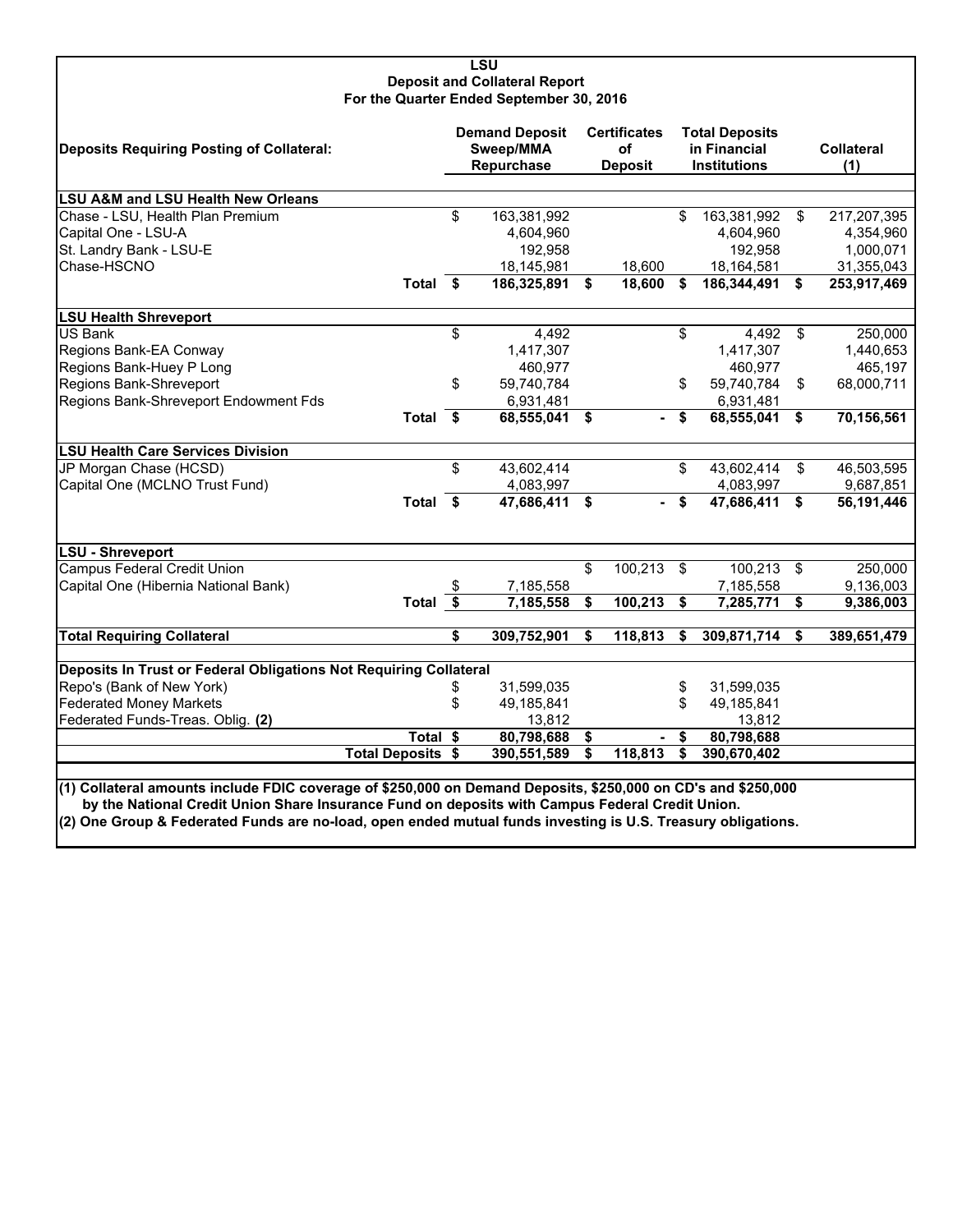#### **LSU Deposit and Collateral Report For the Quarter Ended September 30, 2016**

| Deposits Requiring Posting of Collateral:                                                                                                                                                                        |                          | <b>Demand Deposit</b><br>Sweep/MMA<br>Repurchase | <b>Certificates</b><br>οf<br><b>Deposit</b> | <b>Total Deposits</b><br>in Financial<br><b>Institutions</b> |     | <b>Collateral</b><br>(1) |
|------------------------------------------------------------------------------------------------------------------------------------------------------------------------------------------------------------------|--------------------------|--------------------------------------------------|---------------------------------------------|--------------------------------------------------------------|-----|--------------------------|
| <b>LSU A&amp;M and LSU Health New Orleans</b>                                                                                                                                                                    |                          |                                                  |                                             |                                                              |     |                          |
| Chase - LSU, Health Plan Premium                                                                                                                                                                                 |                          | \$<br>163,381,992                                |                                             | \$<br>163,381,992                                            | \$  | 217,207,395              |
| Capital One - LSU-A                                                                                                                                                                                              |                          | 4,604,960                                        |                                             | 4,604,960                                                    |     | 4,354,960                |
| St. Landry Bank - LSU-E                                                                                                                                                                                          |                          | 192,958                                          |                                             | 192,958                                                      |     | 1,000,071                |
| Chase-HSCNO                                                                                                                                                                                                      |                          | 18,145,981                                       | 18,600                                      | 18,164,581                                                   |     | 31,355,043               |
|                                                                                                                                                                                                                  | Total \$                 | 186,325,891                                      | \$<br>18,600                                | \$<br>186,344,491                                            | \$  | 253,917,469              |
| <b>LSU Health Shreveport</b>                                                                                                                                                                                     |                          |                                                  |                                             |                                                              |     |                          |
| <b>US Bank</b>                                                                                                                                                                                                   |                          | \$<br>4,492                                      |                                             | \$<br>4,492                                                  | \$  | 250,000                  |
| Regions Bank-EA Conway                                                                                                                                                                                           |                          | 1,417,307                                        |                                             | 1,417,307                                                    |     | 1,440,653                |
| Regions Bank-Huey P Long                                                                                                                                                                                         |                          | 460,977                                          |                                             | 460,977                                                      |     | 465,197                  |
| Regions Bank-Shreveport                                                                                                                                                                                          |                          | \$<br>59,740,784                                 |                                             | \$<br>59,740,784                                             | \$  | 68,000,711               |
| Regions Bank-Shreveport Endowment Fds                                                                                                                                                                            |                          | 6,931,481                                        |                                             | 6,931,481                                                    |     |                          |
|                                                                                                                                                                                                                  | Total $\overline{\$}$    | 68,555,041                                       | \$<br>$\sim$                                | \$<br>68,555,041                                             | \$  | 70,156,561               |
| <b>LSU Health Care Services Division</b>                                                                                                                                                                         |                          |                                                  |                                             |                                                              |     |                          |
| JP Morgan Chase (HCSD)                                                                                                                                                                                           |                          | \$<br>43,602,414                                 |                                             | \$<br>43,602,414                                             | \$  | 46,503,595               |
| Capital One (MCLNO Trust Fund)                                                                                                                                                                                   |                          | 4,083,997                                        |                                             | 4,083,997                                                    |     | 9,687,851                |
|                                                                                                                                                                                                                  | Total \$                 | 47,686,411                                       | \$                                          | \$<br>47,686,411                                             | \$  | 56,191,446               |
| LSU - Shreveport                                                                                                                                                                                                 |                          |                                                  |                                             |                                                              |     |                          |
| <b>Campus Federal Credit Union</b>                                                                                                                                                                               |                          |                                                  | \$<br>100,213                               | \$<br>100,213                                                | -\$ | 250,000                  |
| Capital One (Hibernia National Bank)                                                                                                                                                                             |                          | \$<br>7,185,558                                  |                                             | 7,185,558                                                    |     | 9,136,003                |
|                                                                                                                                                                                                                  | Total \$                 | 7,185,558                                        | \$<br>100,213                               | \$<br>7,285,771                                              | \$  | 9,386,003                |
| <b>Total Requiring Collateral</b>                                                                                                                                                                                |                          | \$<br>309,752,901                                | \$<br>118,813                               | \$<br>309,871,714                                            | \$  | 389,651,479              |
| Deposits In Trust or Federal Obligations Not Requiring Collateral                                                                                                                                                |                          |                                                  |                                             |                                                              |     |                          |
| Repo's (Bank of New York)                                                                                                                                                                                        |                          | \$<br>31,599,035                                 |                                             | \$<br>31,599,035                                             |     |                          |
| <b>Federated Money Markets</b>                                                                                                                                                                                   |                          | \$<br>49,185,841                                 |                                             | \$<br>49,185,841                                             |     |                          |
| Federated Funds-Treas. Oblig. (2)                                                                                                                                                                                |                          | 13,812                                           |                                             | 13,812                                                       |     |                          |
|                                                                                                                                                                                                                  | Total \$                 | 80,798,688                                       | \$<br>۰                                     | \$<br>80,798,688                                             |     |                          |
|                                                                                                                                                                                                                  | <b>Total Deposits \$</b> | 390,551,589                                      | \$<br>118,813                               | \$<br>390,670,402                                            |     |                          |
|                                                                                                                                                                                                                  |                          |                                                  |                                             |                                                              |     |                          |
| (1) Collateral amounts include FDIC coverage of \$250,000 on Demand Deposits, \$250,000 on CD's and \$250,000<br>by the National Credit Union Share Insurance Fund on deposits with Campus Federal Credit Union. |                          |                                                  |                                             |                                                              |     |                          |

**(2) One Group & Federated Funds are no-load, open ended mutual funds investing is U.S. Treasury obligations.**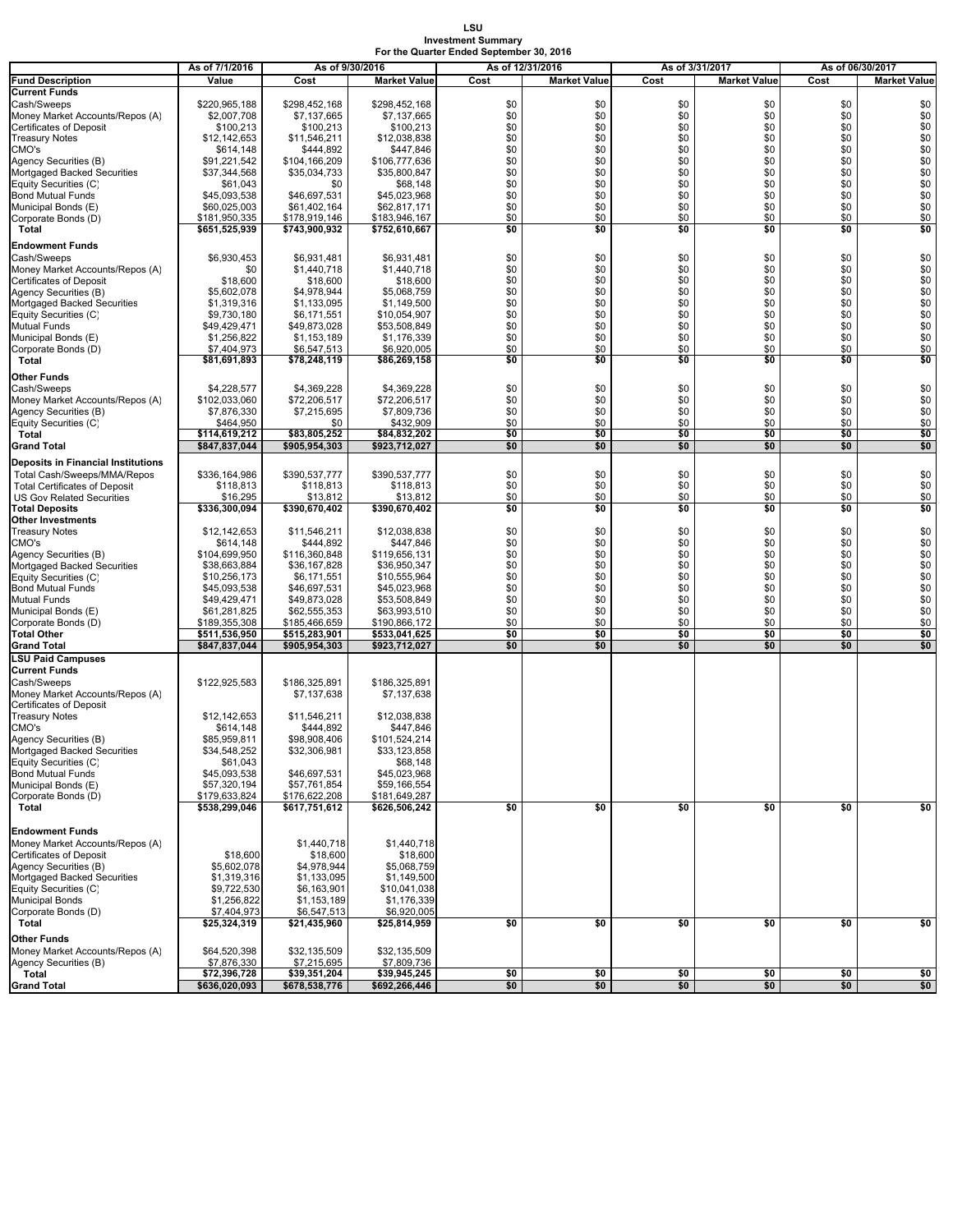#### **LSU Investment Summary For the Quarter Ended September 30, 2016**

|                                                                   | As of 7/1/2016               | As of 9/30/2016              |                              | As of 12/31/2016 |                     |            | As of 3/31/2017     | As of 06/30/2017 |                     |  |
|-------------------------------------------------------------------|------------------------------|------------------------------|------------------------------|------------------|---------------------|------------|---------------------|------------------|---------------------|--|
| <b>Fund Description</b>                                           | Value                        | Cost                         | <b>Market Value</b>          | Cost             | <b>Market Value</b> | Cost       | <b>Market Value</b> | Cost             | <b>Market Value</b> |  |
| <b>Current Funds</b>                                              |                              |                              |                              |                  |                     |            |                     |                  |                     |  |
| Cash/Sweeps                                                       | \$220,965,188                | \$298,452,168                | \$298.452.168                | \$0              | \$0                 | \$0        | \$0                 | \$0              | \$0                 |  |
| Money Market Accounts/Repos (A)<br><b>Certificates of Deposit</b> | \$2,007,708<br>\$100,213     | \$7,137,665<br>\$100,213     | \$7,137,665<br>\$100,213     | \$0<br>\$0       | \$0<br>\$0          | \$0<br>\$0 | \$0<br>\$0          | \$0<br>\$0       | \$0<br>\$0          |  |
| <b>Treasury Notes</b>                                             | \$12,142,653                 | \$11,546,211                 | \$12,038,838                 | \$0              | \$0                 | \$0        | \$0                 | \$0              | \$0                 |  |
| CMO's                                                             | \$614,148                    | \$444,892                    | \$447,846                    | \$0              | \$0                 | \$0        | \$0                 | \$0              | \$0                 |  |
| Agency Securities (B)                                             | \$91,221,542                 | \$104,166,209                | \$106,777,636                | \$0              | \$0                 | \$0        | \$0                 | \$0              | \$0                 |  |
| Mortgaged Backed Securities                                       | \$37,344,568                 | \$35,034,733                 | \$35,800,847                 | \$0              | \$0                 | \$0        | \$0                 | \$0              | \$0                 |  |
| Equity Securities (C)                                             | \$61,043                     | \$0                          | \$68,148                     | \$0              | \$0                 | \$0        | \$0                 | \$0              | \$0                 |  |
| <b>Bond Mutual Funds</b><br>Municipal Bonds (E)                   | \$45,093,538<br>\$60,025,003 | \$46,697,531<br>\$61,402,164 | \$45,023,968<br>\$62,817,171 | \$0<br>\$0       | \$0<br>\$0          | \$0<br>\$0 | \$0<br>\$0          | \$0<br>\$0       | \$0<br>\$0          |  |
| Corporate Bonds (D)                                               | \$181,950,335                | \$178,919,146                | \$183,946,167                | \$0              | \$0                 | \$0        | \$0                 | \$0              | \$0                 |  |
| Total                                                             | \$651,525,939                | \$743,900,932                | \$752,610,667                | \$0              | \$0                 | \$0        | \$0                 | \$0              | \$0                 |  |
| <b>Endowment Funds</b>                                            |                              |                              |                              |                  |                     |            |                     |                  |                     |  |
| Cash/Sweeps                                                       | \$6,930,453                  | \$6,931,481                  | \$6,931,481                  | \$0              | \$0                 | \$0        | \$0                 | \$0              | \$0                 |  |
| Money Market Accounts/Repos (A)                                   | \$0                          | \$1,440,718                  | \$1,440,718                  | \$0              | \$0                 | \$0        | \$0                 | \$0              | \$0                 |  |
| <b>Certificates of Deposit</b>                                    | \$18,600                     | \$18,600                     | \$18,600                     | \$0              | \$0                 | \$0        | \$0                 | \$0              | \$0                 |  |
| Agency Securities (B)                                             | \$5,602,078                  | \$4,978,944                  | \$5,068,759                  | \$0<br>\$0       | \$0                 | \$0<br>\$0 | \$0<br>\$0          | \$0              | $\$0$<br>\$0        |  |
| Mortgaged Backed Securities<br>Equity Securities (C)              | \$1,319,316<br>\$9,730,180   | \$1,133,095<br>\$6,171,551   | \$1,149,500<br>\$10,054,907  | \$0              | \$0<br>\$0          | \$0        | \$0                 | \$0<br>\$0       | \$0                 |  |
| Mutual Funds                                                      | \$49,429,471                 | \$49,873,028                 | \$53,508,849                 | \$0              | \$0                 | \$0        | \$0                 | \$0              | \$0                 |  |
| Municipal Bonds (E)                                               | \$1,256,822                  | \$1,153,189                  | \$1,176,339                  | \$0              | \$0                 | \$0        | \$0                 | \$0              | \$0                 |  |
| Corporate Bonds (D)                                               | \$7,404,973                  | \$6,547,513                  | \$6,920,005                  | \$0              | \$0                 | \$0        | \$0                 | \$0              | \$0                 |  |
| Total                                                             | \$81,691,893                 | \$78,248,119                 | \$86,269,158                 | \$0              | \$0                 | \$0        | \$0                 | \$0              | \$0                 |  |
| Other Funds                                                       |                              |                              |                              |                  |                     |            |                     |                  |                     |  |
| Cash/Sweeps                                                       | \$4,228,577                  | \$4,369,228                  | \$4,369,228                  | \$0              | \$0                 | \$0        | \$0                 | \$0              | \$0                 |  |
| Money Market Accounts/Repos (A)                                   | \$102,033,060                | \$72,206,517                 | \$72,206,517                 | \$0              | \$0                 | \$0        | \$0                 | \$0              | \$0                 |  |
| Agency Securities (B)                                             | \$7,876,330                  | \$7,215,695                  | \$7,809,736                  | \$0<br>\$0       | \$0                 | \$0<br>\$0 | \$0<br>\$0          | \$0              | \$0                 |  |
| Equity Securities (C)<br>Total                                    | \$464,950<br>\$114.619.212   | \$0<br>\$83.805.252          | \$432,909<br>\$84,832,202    | \$0              | \$0<br>\$0          | \$0        | \$0                 | \$0<br>\$0       | \$0<br>\$0          |  |
| <b>Grand Total</b>                                                | \$847,837,044                | \$905,954,303                | \$923,712,027                | \$0              | \$0                 | \$0        | \$0                 | \$0              | \$0                 |  |
| <b>Deposits in Financial Institutions</b>                         |                              |                              |                              |                  |                     |            |                     |                  |                     |  |
| Total Cash/Sweeps/MMA/Repos                                       | \$336,164,986                | \$390,537,777                | \$390,537,777                | \$0              | \$0                 | \$0        | \$0                 | \$0              | \$0                 |  |
| <b>Total Certificates of Deposit</b>                              | \$118,813                    | \$118,813                    | \$118,813                    | \$0              | \$0                 | \$0        | \$0                 | \$0              | \$0                 |  |
| <b>US Gov Related Securities</b>                                  | \$16,295                     | \$13,812                     | \$13,812                     | \$0              | \$0                 | \$0        | \$0                 | \$0              | \$0                 |  |
| <b>Total Deposits</b>                                             | \$336,300,094                | \$390,670,402                | \$390,670,402                | \$0              | \$0                 | \$0        | \$0                 | \$0              | \$0                 |  |
| <b>Other Investments</b><br><b>Treasury Notes</b>                 | \$12,142,653                 | \$11,546,211                 | \$12,038,838                 | \$0              | \$0                 | \$0        | \$0                 | \$0              | \$0                 |  |
| CMO's                                                             | \$614,148                    | \$444,892                    | \$447,846                    | \$0              | \$0                 | \$0        | \$0                 | \$0              | \$0                 |  |
| Agency Securities (B)                                             | \$104,699,950                | \$116,360,848                | \$119,656,131                | \$0              | \$0                 | \$0        | \$0                 | \$0              | \$0                 |  |
| Mortgaged Backed Securities                                       | \$38,663,884                 | \$36,167,828                 | \$36,950,347                 | \$0              | \$0                 | \$0        | \$0                 | \$0              | \$0                 |  |
| Equity Securities (C)                                             | \$10,256,173                 | \$6,171,551                  | \$10,555,964                 | \$0              | \$0                 | \$0        | \$0                 | \$0              | \$0                 |  |
| <b>Bond Mutual Funds</b>                                          | \$45,093,538                 | \$46,697,531                 | \$45,023,968                 | \$0              | \$0                 | \$0        | \$0                 | \$0              | \$0                 |  |
| <b>Mutual Funds</b>                                               | \$49,429,471<br>\$61,281,825 | \$49,873,028<br>\$62,555,353 | \$53,508,849<br>\$63,993,510 | \$0<br>\$0       | \$0<br>\$0          | \$0<br>\$0 | \$0<br>\$0          | \$0<br>\$0       | \$0<br>\$0          |  |
| Municipal Bonds (E)<br>Corporate Bonds (D)                        | \$189,355,308                | \$185,466,659                | \$190,866,172                | \$0              | \$0                 | \$0        | \$0                 | \$0              | \$0                 |  |
| <b>Total Other</b>                                                | \$511,536,950                | \$515,283,901                | \$533,041,625                | \$0              | \$0                 | \$0        | \$0                 | \$0              | \$0                 |  |
| <b>Grand Total</b>                                                | \$847,837,044                | \$905,954,303                | \$923,712,027                | \$0              | \$0                 | \$0        | \$0                 | \$0              | \$0                 |  |
| <b>LSU Paid Campuses</b>                                          |                              |                              |                              |                  |                     |            |                     |                  |                     |  |
| <b>Current Funds</b>                                              |                              |                              |                              |                  |                     |            |                     |                  |                     |  |
| Cash/Sweeps<br>Money Market Accounts/Repos (A)                    | \$122,925,583                | \$186,325,891<br>\$7,137,638 | \$186,325,891<br>\$7,137,638 |                  |                     |            |                     |                  |                     |  |
| <b>Certificates of Deposit</b>                                    |                              |                              |                              |                  |                     |            |                     |                  |                     |  |
| <b>Treasury Notes</b>                                             | \$12,142,653                 | \$11,546,211                 | \$12,038,838                 |                  |                     |            |                     |                  |                     |  |
| CMO's                                                             | \$614,148                    | \$444,892                    | \$447,846                    |                  |                     |            |                     |                  |                     |  |
| Agency Securities (B)                                             | \$85.959.811                 | \$98,908,406                 | \$101,524,214                |                  |                     |            |                     |                  |                     |  |
| Mortgaged Backed Securities                                       | \$34,548,252                 | \$32,306,981                 | \$33,123,858                 |                  |                     |            |                     |                  |                     |  |
| Equity Securities (C)<br><b>Bond Mutual Funds</b>                 | \$61,043<br>\$45,093,538     | \$46,697,531                 | \$68,148<br>\$45,023,968     |                  |                     |            |                     |                  |                     |  |
| Municipal Bonds (E)                                               | \$57,320,194                 | \$57,761,854                 | \$59,166,554                 |                  |                     |            |                     |                  |                     |  |
| Corporate Bonds (D)                                               | \$179,633,824                | \$176,622,208                | \$181,649,287                |                  |                     |            |                     |                  |                     |  |
| Total                                                             | \$538,299,046                | \$617,751,612                | \$626,506,242                | \$0              | \$0                 | \$0        | \$0                 | \$0              | \$0                 |  |
|                                                                   |                              |                              |                              |                  |                     |            |                     |                  |                     |  |
| <b>Endowment Funds</b>                                            |                              |                              |                              |                  |                     |            |                     |                  |                     |  |
| Money Market Accounts/Repos (A)<br>Certificates of Deposit        | \$18,600                     | \$1,440,718<br>\$18,600      | \$1,440,718<br>\$18,600      |                  |                     |            |                     |                  |                     |  |
| Agency Securities (B)                                             | \$5,602,078                  | \$4,978,944                  | \$5,068,759                  |                  |                     |            |                     |                  |                     |  |
| Mortgaged Backed Securities                                       | \$1,319,316                  | \$1,133,095                  | \$1,149,500                  |                  |                     |            |                     |                  |                     |  |
| Equity Securities (C)                                             | \$9,722,530                  | \$6,163,901                  | \$10,041,038                 |                  |                     |            |                     |                  |                     |  |
| <b>Municipal Bonds</b>                                            | \$1,256,822                  | \$1,153,189                  | \$1,176,339                  |                  |                     |            |                     |                  |                     |  |
| Corporate Bonds (D)                                               | \$7,404,973                  | \$6,547,513                  | \$6,920,005                  |                  |                     |            |                     |                  |                     |  |
| Total                                                             | \$25,324,319                 | \$21,435,960                 | \$25,814,959                 | \$0              | \$0                 | \$0        | \$0                 | \$0              | \$0                 |  |
| Other Funds                                                       |                              |                              |                              |                  |                     |            |                     |                  |                     |  |
| Money Market Accounts/Repos (A)<br>Agency Securities (B)          | \$64,520,398<br>\$7,876,330  | \$32,135,509<br>\$7,215,695  | \$32,135,509<br>\$7,809,736  |                  |                     |            |                     |                  |                     |  |
| Total                                                             | \$72,396,728                 | \$39,351,204                 | \$39,945,245                 | \$0              | \$0                 | \$0        | \$0                 | \$0              | \$0                 |  |
| <b>Grand Total</b>                                                | \$636,020,093                | \$678,538,776                | \$692,266,446                | \$0              | \$0                 | \$0        | \$0                 | \$0              | \$0                 |  |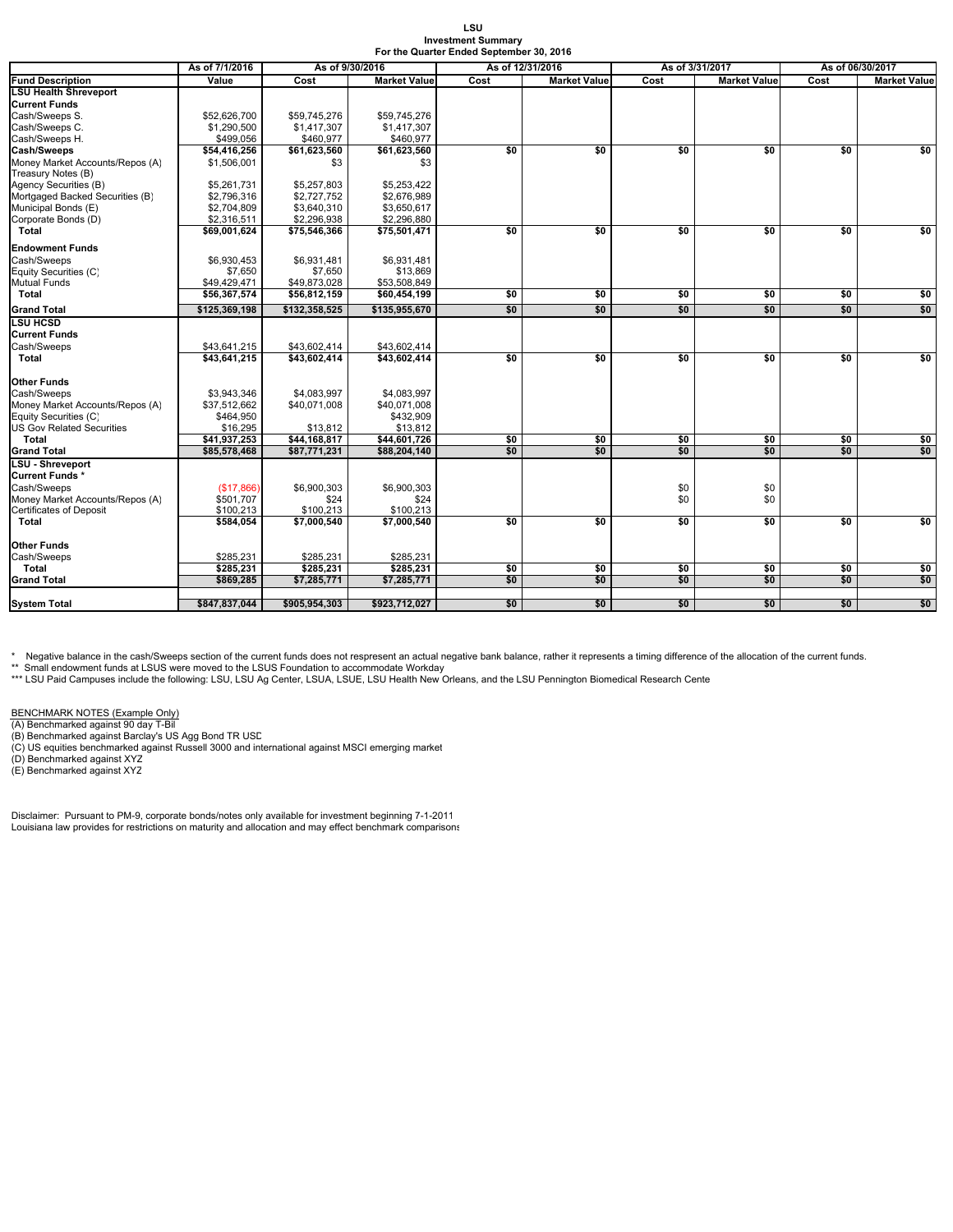#### **LSU Investment Summary For the Quarter Ended September 30, 2016**

| <b>Fund Description</b><br><b>LSU Health Shreveport</b><br><b>Current Funds</b>                      | Value<br>\$52,626,700<br>\$1,290,500<br>\$499,056<br>\$54,416,256 | Cost<br>\$59,745,276<br>\$1,417,307<br>\$460,977 | <b>Market Value</b><br>\$59,745,276 | Cost | <b>Market Value</b> | Cost            | <b>Market Value</b> | Cost | <b>Market Value</b> |
|------------------------------------------------------------------------------------------------------|-------------------------------------------------------------------|--------------------------------------------------|-------------------------------------|------|---------------------|-----------------|---------------------|------|---------------------|
|                                                                                                      |                                                                   |                                                  |                                     |      |                     |                 |                     |      |                     |
|                                                                                                      |                                                                   |                                                  |                                     |      |                     |                 |                     |      |                     |
| Cash/Sweeps S.<br>Cash/Sweeps C.<br>Cash/Sweeps H.<br>Cash/Sweeps<br>Money Market Accounts/Repos (A) |                                                                   |                                                  |                                     |      |                     |                 |                     |      |                     |
|                                                                                                      |                                                                   |                                                  |                                     |      |                     |                 |                     |      |                     |
|                                                                                                      |                                                                   |                                                  | \$1,417,307                         |      |                     |                 |                     |      |                     |
|                                                                                                      |                                                                   |                                                  | \$460,977                           |      |                     |                 |                     |      |                     |
|                                                                                                      |                                                                   | \$61,623,560                                     | \$61,623,560                        | \$0  | \$0                 | \$0             | \$0                 | \$0  | \$0                 |
|                                                                                                      | \$1,506,001                                                       | \$3                                              | \$3                                 |      |                     |                 |                     |      |                     |
| Treasury Notes (B)                                                                                   |                                                                   |                                                  |                                     |      |                     |                 |                     |      |                     |
| Agency Securities (B)                                                                                | \$5.261.731                                                       | \$5,257,803                                      | \$5,253,422                         |      |                     |                 |                     |      |                     |
| Mortgaged Backed Securities (B)                                                                      | \$2,796,316                                                       | \$2,727,752                                      | \$2,676,989                         |      |                     |                 |                     |      |                     |
| Municipal Bonds (E)                                                                                  | \$2,704,809                                                       | \$3,640,310                                      | \$3,650,617                         |      |                     |                 |                     |      |                     |
| Corporate Bonds (D)                                                                                  | \$2,316,511                                                       | \$2,296,938                                      | \$2,296,880                         |      |                     |                 |                     |      |                     |
| Total                                                                                                | \$69,001,624                                                      | \$75,546,366                                     | \$75,501,471                        | \$0  | \$0                 | $\overline{50}$ | \$0                 | \$0  | \$0                 |
| <b>Endowment Funds</b>                                                                               |                                                                   |                                                  |                                     |      |                     |                 |                     |      |                     |
| Cash/Sweeps                                                                                          | \$6,930,453                                                       | \$6,931,481                                      | \$6,931,481                         |      |                     |                 |                     |      |                     |
| Equity Securities (C)                                                                                | \$7,650                                                           | \$7,650                                          | \$13,869                            |      |                     |                 |                     |      |                     |
| Mutual Funds                                                                                         | \$49.429.471                                                      | \$49,873,028                                     | \$53,508,849                        |      |                     |                 |                     |      |                     |
| Total                                                                                                | \$56,367,574                                                      | \$56,812,159                                     | \$60,454,199                        | \$0  | \$0                 | \$0             | \$0                 | \$0  | \$0                 |
| <b>Grand Total</b>                                                                                   | \$125,369,198                                                     | \$132,358,525                                    | \$135,955,670                       | \$0  | \$0                 | \$0             | \$0                 | \$0  | \$0                 |
| <b>LSU HCSD</b>                                                                                      |                                                                   |                                                  |                                     |      |                     |                 |                     |      |                     |
| <b>Current Funds</b>                                                                                 |                                                                   |                                                  |                                     |      |                     |                 |                     |      |                     |
| Cash/Sweeps                                                                                          | \$43,641,215                                                      | \$43,602,414                                     | \$43,602,414                        |      |                     |                 |                     |      |                     |
| Total                                                                                                | \$43,641,215                                                      | \$43,602,414                                     | \$43,602,414                        | \$0  | \$0                 | \$0             | \$0                 | \$0  | \$0                 |
|                                                                                                      |                                                                   |                                                  |                                     |      |                     |                 |                     |      |                     |
| Other Funds                                                                                          |                                                                   |                                                  |                                     |      |                     |                 |                     |      |                     |
| Cash/Sweeps                                                                                          | \$3.943.346                                                       | \$4,083,997                                      | \$4.083.997                         |      |                     |                 |                     |      |                     |
|                                                                                                      |                                                                   |                                                  |                                     |      |                     |                 |                     |      |                     |
| Money Market Accounts/Repos (A)                                                                      | \$37,512,662                                                      | \$40,071,008                                     | \$40,071,008                        |      |                     |                 |                     |      |                     |
| Equity Securities (C)<br><b>US Gov Related Securities</b>                                            | \$464,950                                                         |                                                  | \$432,909                           |      |                     |                 |                     |      |                     |
| Total                                                                                                | \$16,295<br>\$41,937,253                                          | \$13,812<br>\$44,168,817                         | \$13,812<br>\$44,601,726            | \$0  | \$0                 | \$0             | \$0                 | \$0  | \$0                 |
|                                                                                                      | \$85,578,468                                                      | \$87,771,231                                     | \$88,204,140                        | \$0  | \$0                 | \$0             | \$0                 | \$0  | \$0                 |
| <b>Grand Total</b><br>LSU - Shreveport                                                               |                                                                   |                                                  |                                     |      |                     |                 |                     |      |                     |
| Current Funds *                                                                                      |                                                                   |                                                  |                                     |      |                     |                 |                     |      |                     |
|                                                                                                      |                                                                   |                                                  |                                     |      |                     |                 |                     |      |                     |
| Cash/Sweeps                                                                                          | (\$17,866)                                                        | \$6,900,303                                      | \$6,900,303                         |      |                     | \$0             | \$0                 |      |                     |
| Money Market Accounts/Repos (A)                                                                      | \$501,707                                                         | \$24                                             | \$24                                |      |                     | \$0             | \$0                 |      |                     |
| Certificates of Deposit                                                                              | \$100,213                                                         | \$100,213                                        | \$100,213                           |      |                     |                 |                     |      |                     |
| Total                                                                                                | \$584,054                                                         | \$7,000,540                                      | \$7,000,540                         | \$0  | \$0                 | \$0             | \$0                 | \$0  | \$0                 |
| Other Funds                                                                                          |                                                                   |                                                  |                                     |      |                     |                 |                     |      |                     |
| Cash/Sweeps                                                                                          | \$285,231                                                         | \$285,231                                        | \$285,231                           |      |                     |                 |                     |      |                     |
| Total                                                                                                | \$285,231                                                         | \$285,231                                        | \$285,231                           | \$0  | \$0                 | \$0             | \$0                 | \$0  | \$0                 |
| Grand Total                                                                                          | \$869.285                                                         | \$7,285,771                                      | \$7,285,771                         | \$0  | \$0                 | \$0             | \$0                 | \$0  | \$0                 |
|                                                                                                      |                                                                   |                                                  |                                     |      |                     |                 |                     |      |                     |
| <b>System Total</b>                                                                                  | \$847,837,044                                                     | \$905,954,303                                    | \$923,712,027                       | \$0  | \$0                 | \$0             | \$0                 | \$0  | \$0                 |

\* Negative balance in the cash/Sweeps section of the current funds does not respresent an actual negative bank balance, rather it represents a timing difference of the allocation of the current funds.

\*\* Small endowment funds at LSUS were moved to the LSUS Foundation to accommodate Workday<br>\*\*\* LSU Paid Campuses include the following: LSU, LSU Ag Center, LSUA, LSUE, LSU Health New Orleans, and the LSU Pennington Biomedic

BENCHMARK NOTES (Example Only)<br>(A) Benchmarked against 90 day T-Bil<br>(B) Benchmarked against Barclay's US Agg Bond TR USD<br>(C) US equities benchmarked against Russell 3000 and international against MSCI emerging market<br>(D) B

Disclaimer: Pursuant to PM-9, corporate bonds/notes only available for investment beginning 7-1-2011 Louisiana law provides for restrictions on maturity and allocation and may effect benchmark comparisons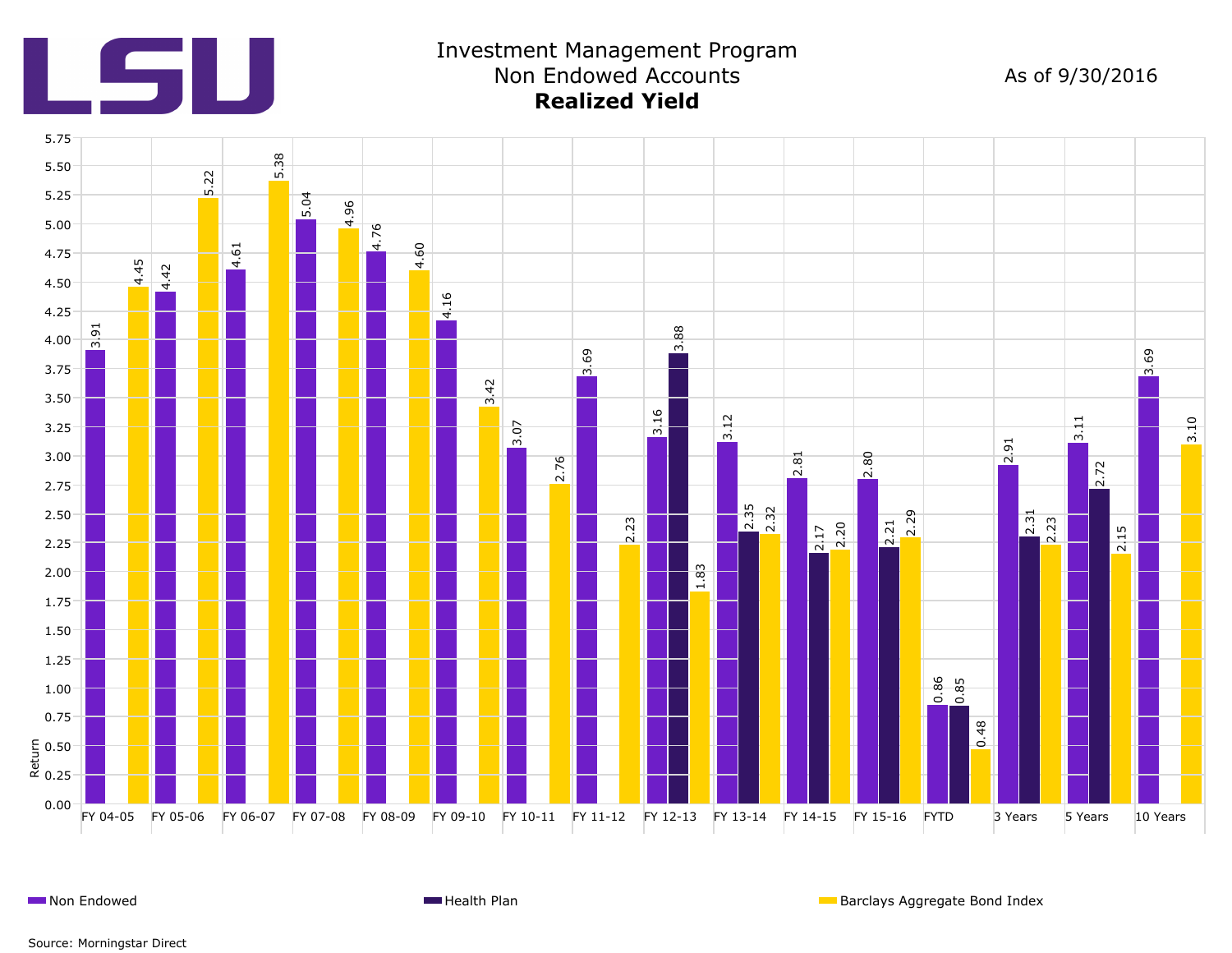

# Investment Management Program Non Endowed Accounts **Realized Yield**

As of 9/30/2016



**Non Endowed Health Plan Barclays Aggregate Bond Index Health Plan** Barclays Aggregate Bond Index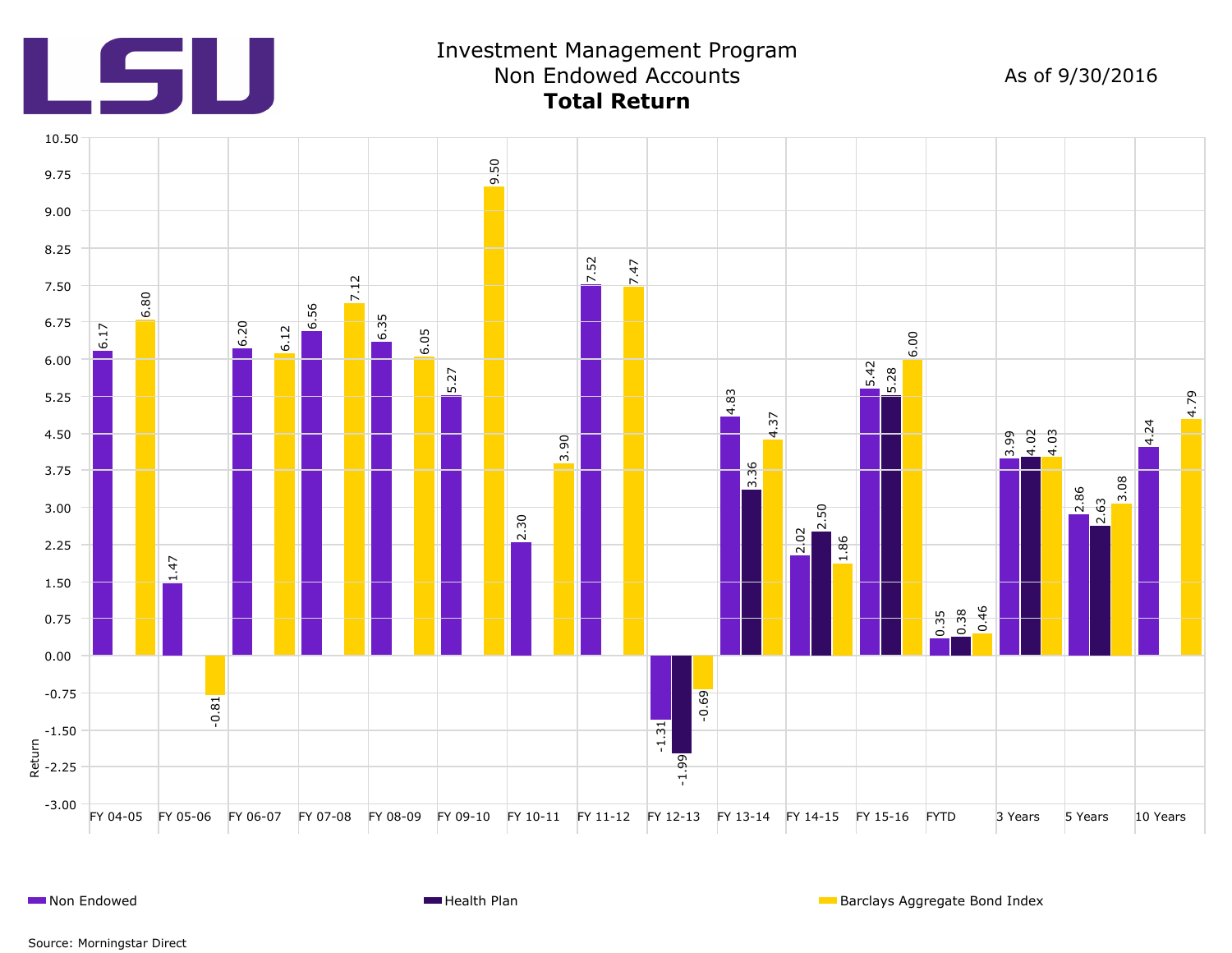

# Investment Management Program Non Endowed Accounts **Total Return**

As of 9/30/2016



**Non Endowed Health Plan Barclays Aggregate Bond Index Health Plan** Barclays Aggregate Bond Index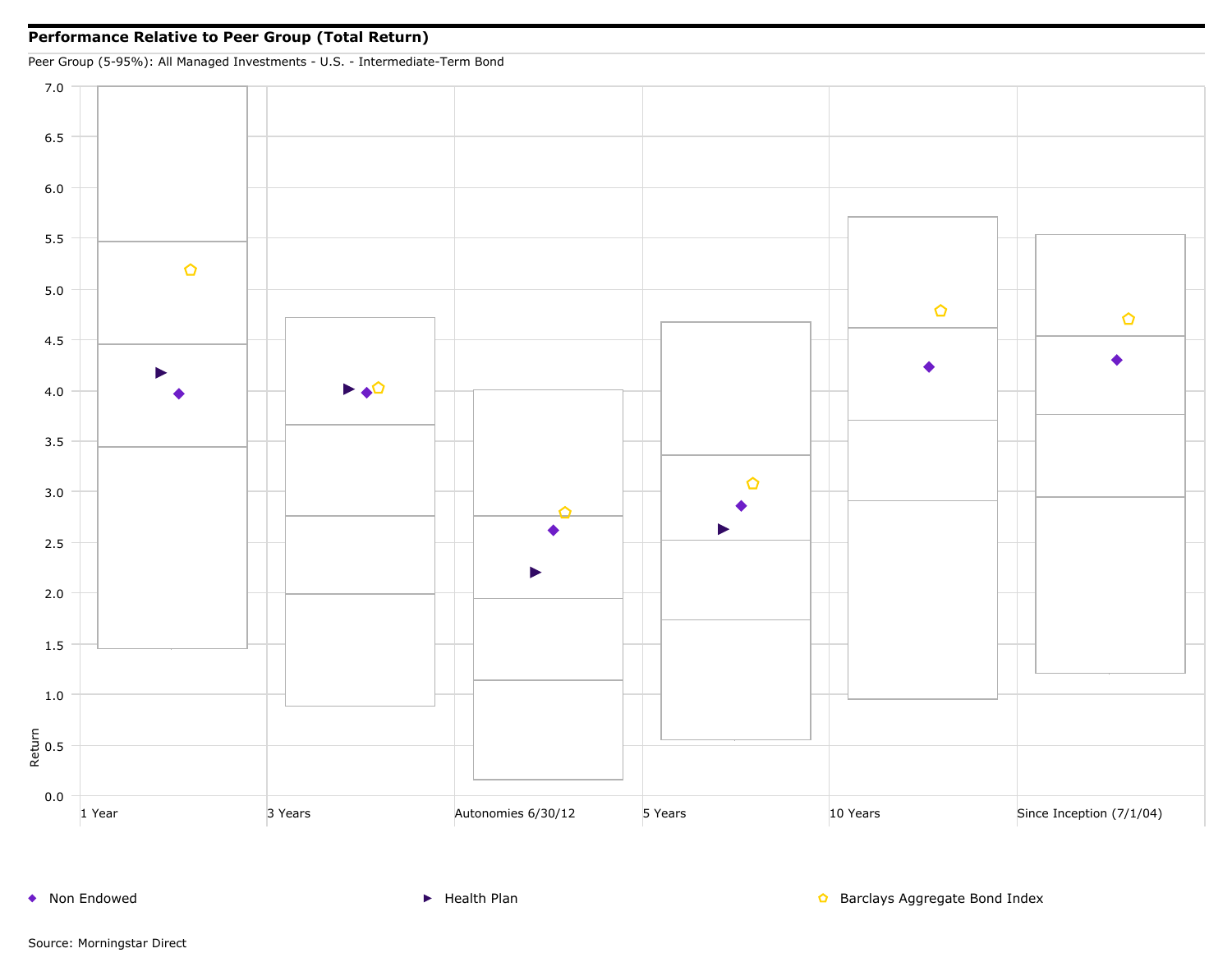

◆ Non Endowed <br>● Non Endowed Supervisor And Health Plan Barclays Aggregate Bond Index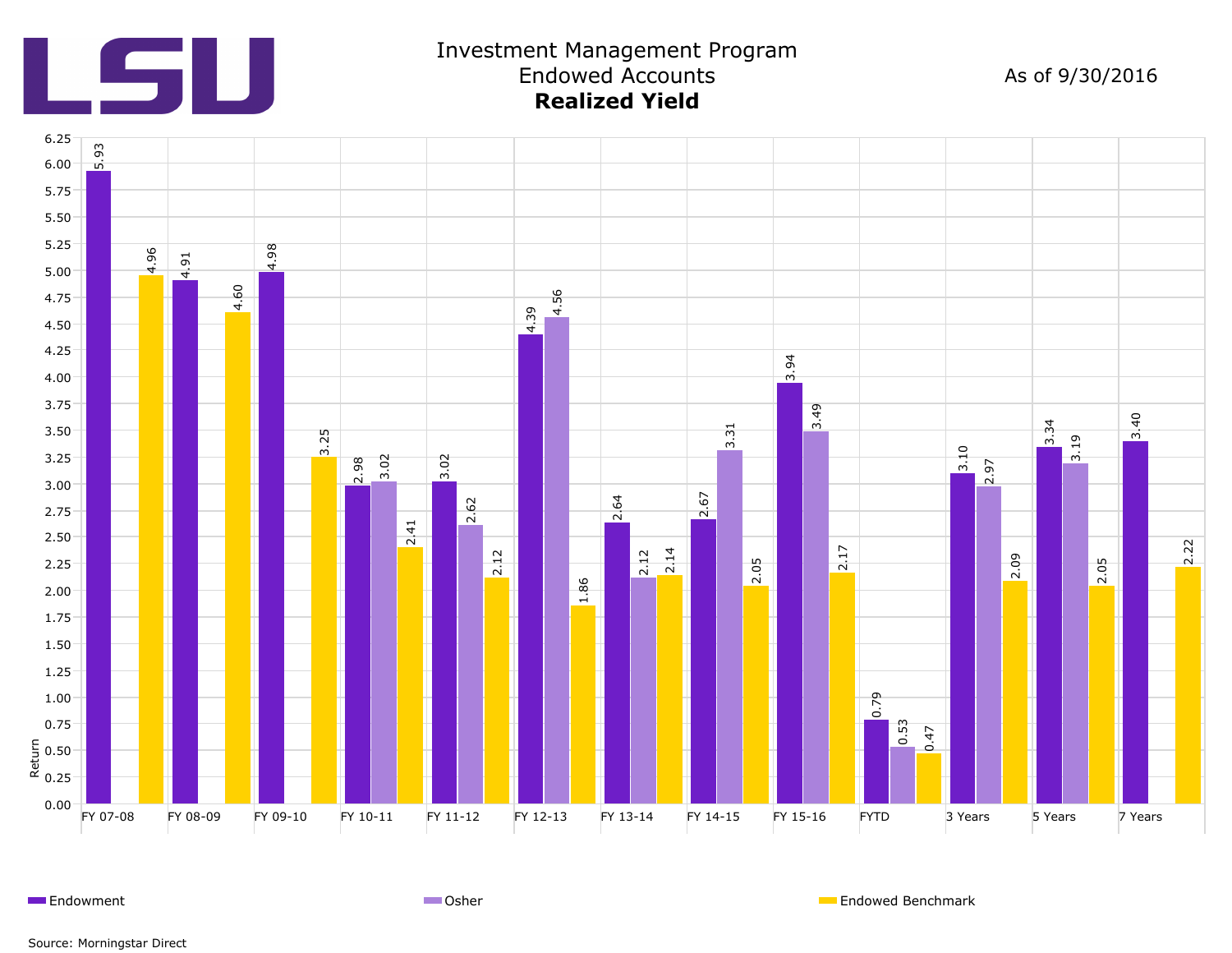

### Investment Management Program Endowed Accounts **Realized Yield**

As of 9/30/2016



Endowment **Endowed Benchmark** Communication Communication Communication Communication Communication Communication Communication Communication Communication Communication Communication Communication Communication Communicat